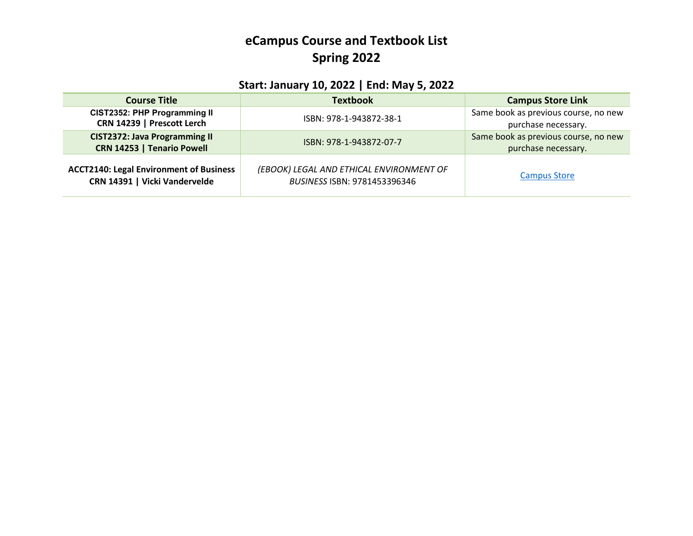## **eCampus Course and Textbook List Spring 2022**

## **Start: January 10, 2022 | End: May 5, 2022**

| <b>Course Title</b>                                                             | <b>Textbook</b>                                                          | <b>Campus Store Link</b>                                    |
|---------------------------------------------------------------------------------|--------------------------------------------------------------------------|-------------------------------------------------------------|
| CIST2352: PHP Programming II<br>CRN 14239   Prescott Lerch                      | ISBN: 978-1-943872-38-1                                                  | Same book as previous course, no new<br>purchase necessary. |
| <b>CIST2372: Java Programming II</b><br>CRN 14253   Tenario Powell              | ISBN: 978-1-943872-07-7                                                  | Same book as previous course, no new<br>purchase necessary. |
| <b>ACCT2140: Legal Environment of Business</b><br>CRN 14391   Vicki Vandervelde | (EBOOK) LEGAL AND ETHICAL ENVIRONMENT OF<br>BUSINESS ISBN: 9781453396346 | <b>Campus Store</b>                                         |